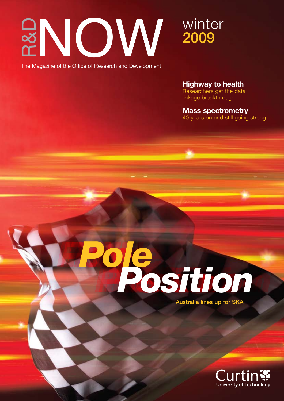

The Magazine of the Office of Research and Development

**Highway to health**

Researchers get the data linkage breakthrough

**Mass spectrometry** 40 years on and still going strong



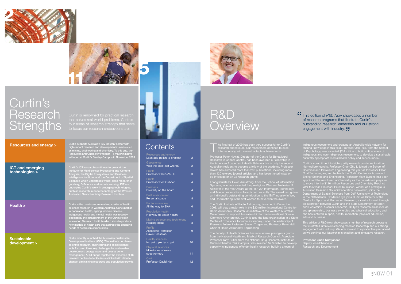The first half of 2009 has been very successful for Curtin's research endeavours. Our researchers continue to excel internationally, with several notable achievements. research endeavours. Our researchers continue to excel internationally, with several notable achievements.

Professor Peter Howat, Director of the Centre for Behavioural Research in Cancer Control, has been awarded a Fellowship in the American Academy of Health Behavior. He is only the second Howat has authored more than 280 publications, including more than 120 refereed journal articles, and has been the principal or co-investigator on 92 research grants.

Systems, who was awarded the prestigious Western Australian IT Achiever of the Year Award at the 18<sup>th</sup> WA Information Technology and Telecommunications Awards held recently. The award recognises an individual's outstanding contribution to the IT&T industry in WA, and Dr Armstrong is the first woman to have won the award.

The Curtin Institute of Radio Astronomy, launched in December 2008, will play a major role in the \$20 million International Centre for Radio Astronomy Research, an initiative of the Western Australian Government to support Australia's bid for the international Square Kilometre Array project. Curtin is also the lead organisation in a State Centre of Excellence for radio astronomy, under the leadership of Premier's Fellow Professor Steven Tingay and Professor Peter Hall, Chair of Radio Astronomy Engineering.

The Faculty of Health Sciences has won several prestigious grants from the National Health and Medical Research Council. Associate Professor Tony Butler, from the National Drug Research Institute at Curtin's Shenton Park Campus, was awarded \$2.3 million to develop capacity in Indigenous offender health research, building a team of

**Professor Linda Kristjanson** Deputy Vice-Chancellor Research and Development

# R&D **Overview**

Indigenous researchers and creating an Australia-wide network for sharing knowledge in this field. Professor Jan Piek, from the School of Psychology, was awarded \$2.4 million to build critical mass of Indigenous and non-Indigenous researchers, to develop a sustainable, culturally appropriate mental health policy and service model.

Curtin's commitment to high-quality research continues to attract high-calibre recruits. Professor Chun-Zhu Li joined the School of Chemical and Petroleum Engineering this year as Professor Clean Coal Technologies, and he leads the Curtin Centre for Advanced Energy Science and Engineering. Professor Mark Buntine has been appointed the new Head of Chemistry as the department prepares to move into the \$116 million Resources and Chemistry Precinct later this year. Professor Peter Teunissen, winner of a prestigious Australian Research Council Federation Fellowship, joins the Department of Spatial Sciences from Delft University of Technology in the Netherlands. Dr Marian Tye joins Curtin as Director of the Centre for Sport and Recreation Research, a centre formed through collaboration between Curtin and the State Department of Sport entrepreneurship, business synergies and physical education, and she has lectured in sport, health, recreation, physical education,

This edition of *R&D Now* showcases a number of research programs that illustrate Curtin's outstanding research leadership and our strong engagement with industry. We look forward to a productive year ahead as we continue our leadership in excellent and innovative research.

This edition of *R&D Now* showcases a number of research programs that illustrate Curtin's outstanding research leadership and our strong engagement with industry. **JJ** "





# Curtin's Research **Strengths**

| Resources and energy<br>Labs add polish to precinct            | 2              |
|----------------------------------------------------------------|----------------|
| Geoscience<br>Was the clock set wrong?                         | 2              |
| Profile<br>Professor Chun-Zhu Li                               | 3              |
| Profile<br><b>Professor Rolf Gubner</b>                        | 4              |
| <b>Business</b><br>Diversity on the board                      | $\overline{4}$ |
| <b>Built environment</b><br>Personal space                     | 5              |
| Radio astronomy<br>All the way to SKA                          | 6              |
| <b>Population health</b><br>Highway to better health           | 8              |
| Marine science and technology<br><b>Floating ideas</b>         | 8              |
| Profile<br><b>Associate Professor</b><br>Dawn Bessarab         | 9              |
| <b>Health sciences</b><br>No pain, plenty to gain              | 10             |
| <b>Physical sciences</b><br>Milestones of mass<br>spectrometry | 11             |
| $Q+A$<br><b>Professor David Hay</b>                            | 12             |
|                                                                |                |



| <b>Resources and energy &gt;</b>          | Curtin supports Australia's key industry sector with<br>high-impact research and development in areas such<br>as mining, engineering and chemistry. To this end, the<br>Resources and Chemistry Precinct - a major initiative -<br>will open at Curtin's Bentley Campus in November 2009.                                                                                                                                                                                       |
|-------------------------------------------|---------------------------------------------------------------------------------------------------------------------------------------------------------------------------------------------------------------------------------------------------------------------------------------------------------------------------------------------------------------------------------------------------------------------------------------------------------------------------------|
| <b>ICT and emerging</b><br>technologies > | Curtin's ICT research continues to grow at the<br>Institute for Multi-sensor Processing and Content<br>Analysis, the Digital Ecosystems and Business<br>Intelligence Institute, and the Department of Spatial<br>Sciences which undertakes world-class research in<br>geodesy, GIScience and remote sensing. ICT also<br>underpins Curtin's work in emerging technologies,<br>such as research in nanotechnology at the Western<br>Australian Nanochemistry Research Institute. |
| Health >                                  | Curtin is the most comprehensive provider of health<br>sciences research in Western Australia. Our expertise<br>in population health, ageing, chronic disease,<br>Indigenous health and mental health was recently<br>boosted by the establishment of the Curtin Health<br>Innovation Research Institute which aims to produce<br>new models of health care that address the changing<br>needs of Australian communities.                                                       |
| <b>Sustainable</b><br>development >       | Curtin recently launched the Australian Sustainable<br>Development Institute (ASDI). The institute combines<br>scientific research, engineering and social science<br>in its focus on three key challenges for sustainable<br>development: energy, water and coastal zone<br>management. ASDI brings together the expertise of 16<br>research centres to tackle issues linked with climate<br>change, diminishing resources and population growth.                              |



## **Contents**

four areas of research strength that serve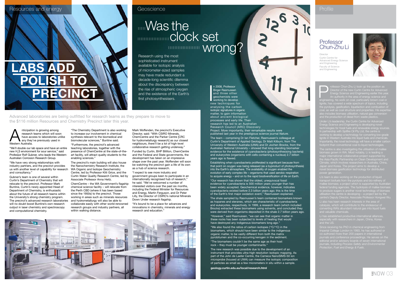## Resources and energy Geoscience Contract Contract Contract Contract Contract Contract Contract Contract Contract Contract Contract Contract Contract Contract Contract Contract Contract Contract Contract Contract Contract C

# **Mas the** minimiminclock set Wrong?

R&D NOW 03

I n 2008, Professor Birger Rasmussen and three other geochemists were working to develop new techniques for analysing the carbon isotopic signatures in organic matter, to gain information about ancient biological processes and early life. Their research has led to an Australian Research Council (ARC) Discovery Project. More importantly, their remarkable results were published last year in the prestigious science journal *Nature*.

The team – comprising Dr Ian Fletcher, Rasmussen's colleague at Curtin's Department of Applied Geology, Dr Matt Kilburn, from The University of Western Australia (UWA) and Dr Jochen Brocks, from the Australian National University – showed that long-standing biomarker evidence for the existence of cyanobacteria (photosynthesising bacteria) and eukaryotes (organisms with cells containing a nucleus) 2.7 billion years ago is flawed.

Establishing when cyanobacteria proliferated is significant because from that point on oxygen was being released (as a byproduct of photosynthesis) into the Earth's atmosphere. The availability of oxygen enabled the evolution of early complex life – organisms that used aerobic respiration to acquire energy – and on to the rapid biodiversification of life on Earth.

"Our research has shown that the oldest, unequivocal fossil evidence for cyanobacteria is 500 million years younger than has been widely accepted. Geochemical evidence, however, indicates cyanobacteria existed before 2.3 billion years ago; this is the time of the Earth's first major oxidation event," Rasmussen explained.

Professor Chun-Zhu Li took up the position as<br>Director of the new Curtin Centre for Advance<br>Energy Science and Engineering earlier this yer<br>An authority in the area of energy science and<br>engineering his work on coal partic Director of the new Curtin Centre for Advanced

engineering, his work on coal, particularly brown coal or lignite, has covered a wide spectrum of topics, including pycrolation and opposite the process in the process of the process of the process of the process of the process concursely getting and properties. His expertised as coal structure and properties. His expertised as

The shale sampled by Rasmussen's team contained biomarkers known as hopanes and steranes, which are characteristic of cyanobacteria and eukaryotes, respectively. In 1999, a research team (which included Brocks) extracted these biomarkers using solvents, and concluded they were derived from organisms deposited in the shale 2.7 billion years ago. "However," said Rasmussen, "we can see that organic matter in these rocks has been subjected to levels of heating that would have destroyed any indigenous biomarkers long ago."

"We also found the ratios of carbon isotopes  $(^{13}C/^{12}C)$  in the biomarkers, which should have been similar to the indigenous organic matter, to be vastly different from both the matrix pyrobitumen and the co-occurring kerogen in the sediment. "The biomarkers couldn't be the same age as their host rock – they must be younger contaminants.'

novel biomass gasification technology for distributed power generation

The new research was possible due to the development of an instrument that provides ultra-high resolution isotopic mapping. As part of the John de Laeter Centre, the Cameca NanoSIMS-50 ion microprobe (housed at UWA) can measure the isotopic composition of particles as small as a few micrometers in situ within a sample.

## Professor Chun-Zhu Li

Faculty of Science and Engineering



**geology.curtin.edu.au/local/research.html**

Anticipation is growing among<br>
research teams which will soor<br>
have access to laboratories un<br>
any they've previously used in<br>
Western Australia. research teams which will soon have access to laboratories unlike Western Australia.

Under Li's leadership, the Curtin Centre for Advanced Energy Science and Engineering is developing novel technologies for fossil fuels and renewable energy sources. In partnership with Spitfire Oil Pty Ltd, the centre is gnite in Western Australia into liquid fuels and<br>constantly the second technology will be used a footprint than conventional coal-to-liquid technologies.

mallee biomass; a project which is supported by Australian federal funding agencies. The hydrolysis of mallee biomass centre's Deputy Director, Associate Professor Hongwei Wu.

Since receiving his PhD in chemical engineering from co-authored more than 200 papers in international journals and conference proceedings. He serves on the journals, including *Process Safety and Environmental* 

Director Curtin Centre for Advanced Energy Science and Engineering

#### Profile



"We'll double our lab space and have an entire new H<sub>2</sub>S environment for sour service," said Professor Rolf Gubner, who leads the Western Australian Corrosion Research Group.

"We have very strong relationships with industry partners, and the precinct provides us with another level of capability for research WA Organic and Isotope Geochemistry and consultancy."

Gubner's team is one of several within Curtin's Department of Chemistry that will relocate to the precinct. Professor Mark Buntine, Curtin's newly appointed Head of Department of Chemistry, is enthusiastic about the future of all research teams within the University's strong chemistry program. The precinct's advanced research laboratories and hydrometallurgy will also be able to will no doubt boost Buntine's own research output in laser chemistry and spectroscopy and computational chemistry.

"The Chemistry Department is also working to increase our involvement in chemical synthesis relevant to the biomedical and biomolecular sciences," Buntine said.

"Furthermore, the precinct's advanced teaching laboratories, together with the presence of ChemCentre at the state-of-theart facility, will attract quality students to the enabling sciences."

The precinct's main building will also house the Nanochemistry Research Institute, the Centre, led by Professor Kliti Grice, and the Curtin Water Quality Research Centre, led by Associate Professor Anna Heitz.

ChemCentre – the WA Government's flagship chemical science facility – will relocate from the Perth CBD (where it has been based since the 1950s) to the precinct. Those working in areas such as minerals resources collaborate easily with other world-renowned research groups and industry partners, all within walking distance.

Mark Woffenden, the precinct's Executive Director, said: "With CSIRO Minerals, ChemCentre and the Parker Centre [CRC for hydrometallurgy research] as our closest neighbours, there'll be a lot of high-level collaborative research getting underway."

Funded by Curtin, BHP Billiton, ChemCentre and the Federal and State governments, the development has taken on an impressive shape over the past year. Woffenden will soon be watching the precinct gain a life of its own as a hub of science research.

"I expect to see more industry and government groups keen to participate in an internationally recognised hub of research," he said. "We've welcomed a number of interested visitors over the past six months, including the Federal Minister for Resources and Energy, Martin Ferguson, and Dr Peter Lilly, the Director of CSIRO's national Minerals Down Under research flagship.

"It's bound to be a place for advances and innovations in chemistry, minerals and energy research and education."



**LABS ADD**

 **polish TO**

 **PRECINCT**

Research using the most sophisticated instrument available for isotopic analysis of micrometer-sized samples may have made redundant a decade-long scientific dilemma about the discrepancy between the rise of atmospheric oxygen and the existence of the Earth's first photosynthesisers.

Advanced laboratories are being outfitted for research teams as they prepare to move to the \$116 million Resources and Chemistry Precinct later this year.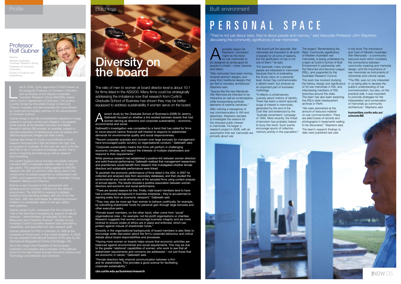possible reason for<br>
Stephens' conclusion<br>
might be the trend<br>
for war memorials to<br>
be designed as landscapes for possible reason for Stephens' conclusion might be the trend for war memorials to people to inhabit – enter, traverse and reflect.

"War memorials have been moving towards abstract designs, and away from traditional designs that are tied to cemetery architecture," Stephens said.

"Spaces like the new Mandurah War Memorial are intended to be interactive as well as contemplative, while incorporating symbolic elements of wartime narratives."

After noticing a resurgence of war commemoration in WA and elsewhere, Stephens decided to investigate the reasons for the renewed public interest in memorials. He began a research project in 2006, with an assumption that war memorials are primarily about war.

"We found just the opposite. War memorials are important to all sorts Wars: Community significance of people for all sorts of reasons, but the glorification of war is not one of them," he said.

"For example, many younger people are interested in memorials because they're re-evaluating the Anzac story on a personal level. Anzac Day commemorates a distant event, but endures as an important part of Australian mythology.

"It reflects a contemporary curiosity about notions of identity. There has been a recent episodic surge of interest in memorials, generated by the end of the Cold War and evidenced by the 'Australia remembers' campaign of 1995. More recently, the threat of terrorism has probably helped to buoy this trend. Such events encourage spurts of collective memory activity in the population."



Frecent study by the Graduate School of Business's (GSB) Dr Jeremy<br>Galbreath focused on whether a link existed between boards that had<br>women serving as directors and corporate sustainability – economic, Galbreath focused on whether a link existed between boards that had environmental and social.

The project, Remembering the of Western Australian war memorials, is being undertaken by resource book which considers a team at Curtin's School of Built Environment in partnership with the Returned and Services League design, and the importance of (RSL), and supported by the Australian Research Council.

The work has involved studying the history, design and significance in us being able to develop the of 40 war memorials in WA, and interviewing members of RSL branches around the state. The team has also been exploring the RSL's state headquarters archives in Perth.

"We were astonished at the amount of resource material on war commemoration. There are piled boxes of records and photographs in basements waiting to be discovered," Stephens said.

The team's research findings to date were published last year

in the book *The Importance and Care of Western Australian War Memorials* – a community the connections between community meaning and memorial war memorials as instruments of citizenship and cultural values.

"The RSL was not only interested public's understanding of war commemoration, but also, on the practical side, it was important to promote strategies for the interpretation and conservation of memorials as community architecture," Stephens said.

**humanities.curtin.edu.au/ schools/BE** 

#### Built environment

# PERSONAL SPACE

## **Diversity on** the board

The ratio of men to women at board director level is about 10:1 for firms listed in the ASX200. Many firms could be strategically addressing the imbalance now that research from Curtin's Graduate School of Business has shown they may be better equipped to address sustainability if women serve on the board.

"They're not just about wars, they're about people and memory," said Associate Professor John Stephens, discussing the community significance of war memorials.



ate in 2008, Curtin appointed Dr Rolf Gubner as<br>the inaugural Professor of Corrosion Chemistry<br>and as Director of the Western Australian<br>Corrosion Research Group (WACRG), based<br>within Curtin's Department of Chemistry. The and as Director of the Western Australian Corrosion Research Group (WACRG), based Chevron Australia, and demonstrates the commitment

> Galbreath's investigation was compelled by a trend that has called for firms to move beyond narrow financial self-interest to respond to stakeholder demands for environmental quality and social responsiveness.

"Recent corporate scandals and concern over large bonuses for management have encouraged public scrutiny on organisational conduct," Galbreath said.

"Corporate sustainability means that firms will perform in challenging economic climates, and respect the interests of multiple stakeholders and respond to their requirements."

His current research focus includes microbially induced corrosion (MIC) of seawater injection wells in oil and gas plants. This expertise is being applied to WACRG CSIRO, and supported by the Western Australian Energy Research Alliance and Chevron).

bealur<del>y manue and onon-ony.</del><br>Sher is also focused on the assessment and<br>relepment of corrosion inhibitors for the offsho environment. The WACRG is working to address industry's long-standing problem with top-of-the-line While previous research had established a positive link between women directors and solid financial performance, Galbreath realised that management researchers and practitioners would benefit from research that investigated whether female directors and sustainable performance were linked.

To ascertain the economic performance of firms listed in the ASX, in 2007 he collected and analysed data from secondary databases, and then studied the environmental and social dimensions of the sampled firms using content analysis of annual reports. The results showed a positive association between women directors and economic and social performance.

Director Western Australian Corrosion Research Group Professor of Corrosion Chemistry Faculty of Science and **Engineering** 



"There are several reasons for this. Firstly, male board members tend to have had a continuous background in business enterprise – they're accustomed to reacting solely from an economic viewpoint," Galbreath said.

"They may also be more apt than women to behave unethically, for example, by subverting shareholder funds for personal gain through large bonuses and other executive perks.

"Female board members, on the other hand, often come from 'social' organisational roles – for example, not-for-profit organisations or charities. Research suggests that women encourage business integrity and are more inclined to ensure codes of ethics are in place and enforced, which can protect against misuse of shareholder funds."

Diversity in the organisational backgrounds of board members is also likely to encourage wider discussion about the firm's corporate behaviour and critical debate about board responsibilities and processes.

"Having more women on boards helps ensure that economic activities are balanced against environmental and social requirements. This may be due to the greater 'relational' capabilities of women, who work to see that all stakeholder requirements and concerns are addressed – not just those that are economic in nature," Galbreath said.

"Female directors help channel communication between a firm and its stakeholders. This provides a good avenue for facilitating corporate sustainability."

**cbs.curtin.edu.au/business/research**

Gubner brings to the role comprehensive experience in large projects in corrosion control and mitigation. His research Research Institute AB) includes, for example, projects in offshore equipment, bridges and water mains.

Gubner also brings to Curtin a commitment to both WACRG to be a "corrosion knowledge centre" that is

Gubner joined Curtin, impressed that the University is Resources and Chemistry Precinct". Already he has

University of Portsmouth, in the United Kingdom. In 2003, International Biographical Centre (Cambridge, UK). Federation of Corrosion and a member of the editorial board for the high-impact journals *Corrosion Science and* 

#### Profile **Business**

## Professor Rolf Gubner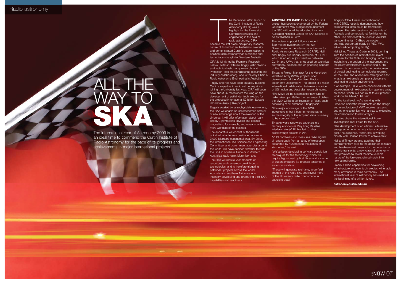

he December 2008 launch of the Curtin Institute of Radio Astronomy (CIRA) was a highlight for the University. Combining physics and engineering in the field of radio astronomy, CIRA

The comment of the left of the left of the left of the left of the left of the left of the left of the left of the left of the left of the left of the left of the left of the left of the left of the left of the left of the became the first cross-disciplinary research centre of its kind at an Australian university, and demonstrated Curtin's determination to position radio astronomy as a science and technology strength for Western Australia.

CIRA is jointly led by Premier's Research Fellow Professor Steven Tingay (astrophysics and technical astronomy research) and Professor Peter Hall (engineering research and industry collaboration), who is the only Chair in Radio Astronomy Engineering in Australia.

Tingay and Hall have been capacity-building Curtin's expertise in radio astronomy since joining the University last year. CIRA will soon have about 25 researchers focusing on the development of pathfinder technologies for the proposed international \$2 billion Square Kilometre Array (SKA) project.

**AUSTRALIA'S CASE** for hosting the SKA project has been strengthened by the Federal Government's May budget announcement that \$80 million will be allocated to a new Australian National Centre for SKA Science to be established in Perth.

Eagerly awaited by astrophysicists everywhere, the SKA will enable an unprecedented amount of new knowledge about the evolution of the Universe. It will offer information about 'dark energy', gravitational physics and cosmic magnetism, for example, and reveal countless more wonders of the cosmos.

The apparatus will consist of thousands of individual antennas positioned across a 3,000-kilometre continental area. By 2012, the international SKA Science and Engineering Committee, and government agencies around the world, will have decided whether to build the SKA in southern Africa or in Western Australia's radio-quiet Murchison area. The SKA will require vast amounts of resources and numerous breakthrough technologies, and is therefore triggering pathfinder projects across the world. Australia and southern Africa are now intensely developing and promoting their SKA capabilities and readiness.

"These will generate real-time, wide-field images of the radio sky, and reveal more of the Universe's radio phenomena in exquisite detail.

The federal support follows a recent \$20 million investment by the WA Government in the International Centre for Radio Astronomy Research (ICRAR). Hall and Tingay are Deputy Directors of ICRAR, which is an equal joint venture between Curtin and UWA that is focused on technical astronomy, science and engineering aspects of the SKA.

Tingay is Project Manager for the Murchison Widefield Array (MWA) project under development at the Murchison Radioastronomy Observatory. The project is a major international collaboration between a number of US, Indian and Australian research teams.

"The MWA will be a completely new type of radio telescope. Rather than an array of dishes, the MWA will be a configuration of 'tiles', each consisting of 16 antennas," Tingay said. "The major advantage of the MWA

# ALL T WAY\_T ska

instrument is that it has no moving parts, so the integrity of the acquired data is unlikely to be compromised."

Tingay's world-renowned expertise in a technique known as Very Long Baseline Interferometry (VLBI) has led to other breakthrough projects in WA. "VLBI combines and measures radio signals simultaneously from an array of telescopes separated by hundreds to thousands of kilometres," he said.

"We've been developing software correlation techniques for the technology which will require high-speed optical fibres and a cache of supercomputers [to process terabytes of astronomical data].

Tingay's ICRAR team, in collaboration with CSIRO, recently demonstrated how astronomical data could be transferred between the radio receivers on one side of Australia and computational facilities on the other. The demonstration used an AARNet transcontinental 10 Gbps connection, and was supported locally by iVEC (WA's advanced-computing facility).

Hall joined Tingay at Curtin in 2008, coming from the position of International Project Engineer for the SKA and bringing unmatched insight into the design of the instrument and the policy development surrounding it. His research is concerned with the development of pivotal engineering technologies required for the SKA, and of decision-making tools for what is an extremely complex science and engineering design environment.

"For example, CIRA will be concerned with the development of next-generation aperture array antennas, which is a natural fit to our present work on the MWA," Hall said.

"At the local level, we're working with Poseidon Scientific Instruments on the design and manufacture of MWA receiver systems and other electronics, with a view to extending the collaboration to new arrays."

Hall also chairs the international Power Investigation Task Force for the SKA.

"The development of an efficient, alternative energy scheme for remote sites is a critical goal," he explained, "and CIRA is working closely with Horizon Power to achieve this."

Hall and Tingay are also applying their complementary skills to the design of software and hardware instruments for the detection of cosmic transients: a new class of astronomy that promises to reveal the time-variable nature of the Universe, giving insight into new astrophysics.

Clearly, CIRA's capabilities for developing infrastructure and new technologies will enable many advances in radio astronomy. The International Year of Astronomy has marked the beginning of a brilliant future.

**astronomy.curtin.edu.au**

The International Year of Astronomy 2009 is an ideal time to commend the Curtin Institute of Radio Astronomy for the pace of its progress and achievements in major international projects.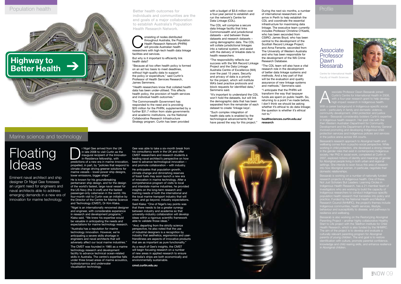

Ssociate Professor Dawn Bessarab joined<br>Curtin's Centre for International Health in 2<br>with a four-year research grant to help dev<br>Mith a computed lower at in ladi Curtin's Centre for International Health in 2008, high-impact research in Indigenous health.

work – particularly in family and domestic violence, **in Indigenous health research. Her past role with the**<br>in Indigenous health research. Her past role with the Development and the Department of the Attorney General protection services and Indigenous policies and services

research projects in Indigenous health. One of these, Not Just Scholars But Leaders: Learning Circles in Indigenous Health Research, has a 21-member team of investigators who are working to build the capacity of Indigenous researchers to conduct Indigenous-specific population health research that translates into policy and practice. Funded by the National Health and Medical Research Council (NHMRC), the project's themes include Indigenous communities, health services, lifestyle, naigenous communities, nealth services, lilestyle,<br>behaviour and susceptibility to disease, and pathways to ritaviour and susceptic<br>silience and wellbeing.

in the gender roles that exist in contemporary Indigenous 2007, explored notions of identity and meanings of gender or Aboriginal people living in both urban and regional into how Aboriginal women, in particular, negotiate their

Centre for International He Faculty of Health Sciences



Bessarab is also working on the Restor(y)ing Aboriginal Parenting Project – another highly collaborative Healthy Start to Life project with the Telethon Institute for Child Health Research, which is also funded by the NHMRC. culturally relevant parenting program for Aboriginal parents of young children. The end goal is to restore

## Associate Professor Dawn Bessarab

#### onsisting of nodes distributed<br>throughout Australia, the Popu<br>Health Research Network (PHI<br>will provide Australian health<br>researchers with high-tech health data I throughout Australia, the Population Health Research Network (PHRN) will provide Australian health researchers with high-tech health data linkage





a four-year period to establish and run the network's Centre for Data Linkage (CDL).

The CDL will comprise a secure data linkage facility that links Commonwealth and jurisdictional datasets – and between those datasets and research datasets – using demographic data. The CDL will collate jurisdictional linkages into a national system, and assist with the delivery of linkable data to health researchers.

r Nigel Gee arrived from the UK<br>
in late 2008 to visit Curtin as the<br>
inaugural recipient of the Innova<br>
in-Residence fellowship, with<br>
predictions of a new era in marine innova in late 2008 to visit Curtin as the inaugural recipient of the Innovatorpredictions of a new era in marine innovation, propelled, in part, by "policies that respond to and promote collaboration – with industry. climate change driving greener solutions for marine vessels – lower-power ship designs, lower emissions, bigger ships".

"The responsibility reflects our success with the WA Record Linkage Project and the Data Linkage Australia Centre of Excellence (WA) over the past 15 years. Security and privacy of data is a priority for the project, which will institute WA's best practice protocols and block requests for identified data," Semmens said.

"It's important to understand the CDL won't hold the datasets, but will link the demographic data that has been separated from the remainder of each dataset to create 'linkage keys'.

"Such complex integration of health data sets is enabled by the technological advancements that have paved the way for this project."

During the next six months, a number of international researchers will arrive in Perth to help establish the CDL and coordinate the essential infrastructure for maximising data linkage. The executive team currently includes Professor Christine O'Keefe, who has been seconded from CSIRO; James Boyd, who has been central to the development of the Scottish Record Linkage Project; and Anna Ferrante, seconded from The University of Western Australia and who has been responsible for the development of the WA Crime Research Database.

"The CDL team will also have a vital research role in the development of better data linkage systems and methods. And a key part of that will be the evaluation and quality assurance of new linkage systems and methods," Semmens said.

"I anticipate that the PHRN will transform the way that taxpayer funds are spent on public health. So, returning to a point I've made before, I don't think we should be asking whether it's ethical to do data linkage: the question is whether it's ethical not to."

**healthsciences.curtin.edu.au/ research**

facilities and services. But why is it important to efficiently link

health data?

"Because all too often health policy is formed on an ad hoc basis to meet deadlines, without high-quality data to support the policy or expenditure," said Curtin's Professor of Health Services Research, James Semmens.

"Health researchers know that collated health data has been under-utilised. This affects health policy, the provision of health services and individual health outcomes."

The Commonwealth Government has responded to the need and is providing \$20 million for the PHRN, supplemented by a further \$31.7 million from state governments and academic institutions, via the National Collaborative Research Infrastructure Strategy program. Curtin has been provided

He is known for his groundbreaking pentamaran ship design, and for the design of the world's fastest, large naval vessel for the US Navy (the X-craft) and the fastest passenger-only catamaran in the world. His four-month visit to Curtin was an initiative by the Director of the Centre for Marine Science and Technology (CMST), Dr Kim Klaka.

"Nigel is an internationally renowned designer and engineer, with considerable experience in research and development programs," Klaka said. "We knew his expertise would be valuable in anticipating the needs and expectations for marine technology research.

"Australia has a reputation for marine technology innovation. However, we're anticipating a severe skills shortage in engineers and naval architects that will adversely affect our local marine industries." The CMST was founded in 1985 as a marine technology research and development facility to advance technical ocean-related skills in Australia. The centre's expertise falls under three broad areas of marine acoustics, hydrodynamics and underwater visualisation technology.

Gee was able to take a six-month break from his consultancy work in the UK and offer CMST researchers and research students a leading naval architect's perspective on how best to advance technological innovation –

He anticipates that population growth, climate change and diminishing reserves of fossil fuels may soon launch a new era of innovation in marine technology. After a comprehensive program of visits to local and interstate marine industries, he provided insights on the long-term research and training needs of both the international and the local marine transport industry that will meet, and go beyond, industry expectations. Said Klaka: "One of Nigel's key points was that there needs to be a greater synergy between industry and academia so that university–industry collaboration will develop ideas within a rigorous scientific framework able to validate those ideas."

"And, departing from the strictly science perspective, he also noted that the use of industrial designers is a recognition by industry that aesthetics, ergonomics and userfriendliness are aspects of innovative products that are as important as pure functionality."

As a result of Gee's insights, the CMST will begin focusing research on a number of new areas in applied research to ensure Australia's ships are both economically and environmentally sustainable.

**cmst.curtin.edu.au**

#### Marine science and technology

# Floating Ideas

Eminent naval architect and ship designer Dr Nigel Gee foresees an urgent need for engineers and naval architects able to address emerging demands in a new era of innovation for marine technology.

## **Highway to Better Health**

#### Better health outcomes for individuals and communities are the end goals of a major collaboration to establish Australia's Population Health Research Network.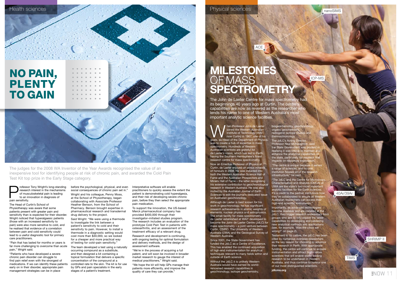**WARE SERV** Spined the Western Australian<br>
Institute of Technology (WAIT,<br>
now Curtin) in 1967, one of his<br>
poals as Head of the Department of Physics joined the Western Australian Institute of Technology (WAIT, goals, as Head of the Department of Physics, was to create a hub of expertise in mass spectrometry. Hundreds of Western Australian scientists are grateful for de Laeter's vision, which has led to Perth having the Southern Hemisphere's finest research centre for mass spectrometry. Now an Emeritus Professor of Physics at Curtin, de Laeter enjoyed an *annus mirabilis* of honours in 2008. He was inducted into both the Western Australian Science Hall of Fame and the Australian Prospectors and Miners Hall of Fame – the latter recognising his extensive contribution to geochronological research in Western Australia. He was also invited by the *Australian Journal of Earth Sciences* to edit the journal's dedicated issue on Australian geochronology.

Although de Laeter is best known for his work in geochronology, he has significant research achievements in atomic weights of elements, nuclear physics and astrophysics. The small facility for mass spectrometry de Laeter established at WAIT developed to become the John de Laeter Centre (JdLC) for mass spectrometry – a joint venture between Curtin, CSIRO, The University of Western Australia (UWA) and the Geological Survey of Western Australia.

biogeochemistry, geochro organic geochemistry, radiogenic isotope studies and thermochronology. The JdLC's Acting Director, Professor Neal McNaughton, said the State Government was prudent in realising it was critical to maintain and enhance the analytical capabilities of the state, particularly for research that impacts on resources exploration.

Since 2001, the State Government has funded the JdLC as a Centre of Excellence. This has enabled the continued acquisition of high-end instrumentation for analytical techniques relevant to many fields within and outside of Earth science.

Without the JdLC it is unlikely Western Australia would have earned its worldrenowned research capabilities in geochronology, isotope geochemistry,

"The centre is unique because it serves

#### before the psychological, physical, and even social consequences of chronic pain set in."

a range of sciences, and no one institution houses all of the research infrastructure," he said. "The JdLC and the Centre for Micros Characterisation and Analysis (CMCA) at UWA are the state's two most important analytic facilities for the Earth sciences. It's a credit to the partner institutions how they've collaborated to ensure all Western Australian researchers can access their high-end scientific instruments." Importantly, as advanced technologies become available and are installed at the JdLC, they trigger research endeavours from groups who aim to fully exploit the latest capabilities by developing and validating new analytical methods and applications (see, for example, 'Was the clock set wrong?' on page 2). Testament to its calibre, the JdLC has been cited by numerous overseas researchers as the key reason for choosing to advance their research in Perth. With appropriate funding, the centre will continue to acquire instrumentation and attract high-calibre scientists that will enable world-leading research to be undertaken in Western

Australia, and thus continue to honour one of our most distinguished scientists.

**jdlcms.org**

## **MILESTONES** OF MASS **SPECTROMETRY**

Physical sciences

The John de Laeter Centre for mass spectrometry had its beginnings 40 years ago at Curtin. The centre capabilities are now as revered as the researcher who lends his name to one of Western Australia's most important analytic science facilities.

#### nanoSIMS

ACE





SHRIMP II

 $R$ NOW 11

TIMS

The judges for the 2008 WA Inventor of the Year Awards recognised the value of an inexpensive tool for identifying people at risk of chronic pain, and awarded the Cold Pain Test Kit top prize in the Early Stage category.



Professor Tony Wright's long-standing<br>research interest in the mechanisms<br>of musculoskeletal pain is leading<br>to an innovation in diagnosis of<br>pain sensitivity research interest in the mechanisms of musculoskeletal pain is leading to an innovation in diagnosis of pain sensitivity

The Head of Curtin's School of

Physiotherapy was aware that some patients present with greater pain and sensitivity than is expected for their disorder. Wright noticed that hyperalgaesic patients (those with an increased sensitivity to pain) were also more sensitive to cold, and he realised that evidence of a correlation between pain and cold sensitivity could lead to a useful diagnostic tool for primary care practitioners.

"Pain that has lasted for months or years is far more challenging to overcome than acute pain," Wright said.

"Patients who have developed a severe chronic pain disorder can struggle to find pain relief even with the strongest of medications. If we can identify these patients early on in their disorder, appropriate pain management strategies can be in place

Wright and his colleague, Penny Moss, at the School of Physiotherapy, began collaborating with Associate Professor Heather Benson, from the School of Pharmacy. Benson brought expertise in pharmaceutical research and transdermal drug delivery to the project.



Said Wright: "We were using a thermode to investigate the link between a patient's sensitivity to cold and their sensitivity to pain. However, to install a thermode in a diagnostic setting would cost more than \$30,000, so we looked for a cheaper and more practical way of testing for cold–pain sensitivity."

The team developed a test using a naturally occurring compound as a substitute, and then designed a kit containing a topical formulation that delivers a specific concentration of the compound at a controlled rate to the skin. The kit is for use by GPs and pain specialists in the early stages of a patient's treatment.

#### Interpretative software will enable

practitioners to quickly assess the extent the patient is demonstrating cold hyperalgesia, and their risk of developing severe chronic pain, before they then select the appropriate pain medication.

To support the innovation, the US-based Merck pharmaceutical company has provided \$400,000 through their investigator–initiated studies program. The research includes an evaluation of the prototype Cold Pain Test in patients with osteoarthritis, and an assessment of the treatment efficacy of a relevant drug.

Research and development is continuing, with ongoing testing for optimal formulation and delivery methods, and the design of assessment software.

"We're in the process of acquiring a full patent, and will soon be involved in broader market research to gauge the interest of medical practitioners," Wright said. "We hope the kit will help GPs manage their

patients more efficiently, and improve the quality of care they can provide."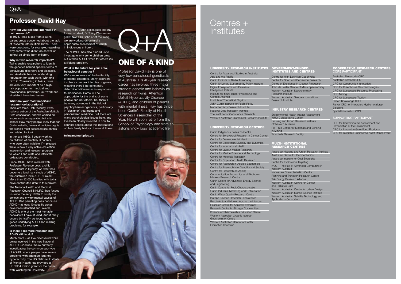#### **How did you become interested in twin research?**

In 1975, I had a call from a twins' parent group concerned about the lack we are working on culturally of research into multiple births. There were questions, for example, regarding why some twins didn't do as well at school as single-born children.

#### **Why is twin research important?**

Twins enable researchers to identify the genetics behind specific forms of behavioural disorders and diseases, and Australia has an outstanding reputation for such work. With one birth in 70 resulting in twins, twins are also very important as a highrisk population for medical and psychosocial problems. Our work has straddled these two issues.

#### **What are your most important research collaborations?**

There are three. Until recently, I was national patron of the Australian Multiple Birth Association, and we worked on issues such as separating twins in school. How many people know that our Curtin website, twinsandmultiples.org, is the world's most accessed site on this and related topics?

In the late 1980s, I began working on children of mentally ill parents, who were often invisible. I'm pleased there is now a very active education, intervention and research program to which I and state and interstate colleagues contributed.

Since 1990, I have worked with Professor Florence Levy, a child psychiatrist in Sydney, on what has become a landmark study of ADHD, the Australian Twin ADHD Project. More than 12,000 families with twins have contributed data to this project.

The National Health and Medical Research Council [NHMRC] has funded us since the early 1990s to study the genetic and environmental causes of ADHD. Bad parenting does not cause ADHD – at least 10 specific genes have been identified and, overall, ADHD is one of the most heritable behaviours I have studied. And it rarely occurs by itself – we found common genes underlying ADHD and reading problems, for example.

## Centres + **Institutes**

#### **Is there a lot more research into ADHD still to do?**

Much more – as I've discovered while being involved in the new National ADHD Guidelines. We're currently investigating the common sub-type of ADHD, where people have severe problems with attention, but not hyperactivity. The US National Institute of Mental Health has provided a USD\$2.4 million grant for the project with Washington University.

Along with Curtin colleagues and my former student, Dr Tracy Westerman (2002 NAIDOC Scholar of the Year), appropriate assessment of ADHD in Indigenous children.

The NHMRC has also funded us to investigate why some children grow out of their ADHD, while for others it's a lifelong problem.

#### **What is the future for your area, behavioural genetics?**

We're more aware of the heritability of mental disorders. Many disorders involve a complex interplay of genes, meaning there'll be genetically determined differences in responses to medication. Some will be appropriate for the brains of some people and not others. So, there'll be many advances in the field of psychopharmacogenetics, particularly in 'designer' treatments and personalised medicine. But there are many psychological issues here, and I've been closely involved in how to counsel people about the implications of their family history of mental illness.

#### cooperative research centres CORE P

**twinsandmultiples.org**

## $O+A$

## Professor David Hay

Professor David Hay is one of very few behavioural geneticists in Australia. His 40-year research career has involved three major strands: genetic and behavioural research on twins, Attention Deficit Hyperactivity Disorder (ADHD), and children of parents with mental illness. Hay has thrice been Curtin's Faculty of Health Sciences Researcher of the Year. He will soon retire from the School of Psychology and from an

astonishingly busy academic life.



#### UNIVERSITY RESEARCH INSTITUTES

Centre for Advanced Studies in Australia, Asia and the Pacific

Curtin Institute of Radio Astronomy Curtin University Sustainability Policy Institute Digital Ecosystems and Business Intelligence Institute Institute for Multi-sensor Processing and Content Analysis Institute of Theoretical Physics John Curtin Institute for Public Policy Nanochemistry Research Institute

National Drug Research Institute The Institute for Geoscience Research Western Australian Biomedical Research Institute

#### University Research Centres

Curtin Indigenous Research Centre Centre for Behavioural Research in Cancer Control Centre for Developmental Health Centre for Ecosystem Diversity and Dynamics Centre for International Health Centre for Labour Market Research Centre for Marine Science and Technology Centre for Materials Research Centre for Population Health Research Centre for Research in Applied Economics Centre for Research into Disability and Society Centre for Research on Ageing Communication Economics and Electronic Markets Research Centre Curtin Centre for Advanced Energy Science and Engineering Curtin Centre for Rock Characterisation Curtin Industrial Modelling and Optimisation Curtin Water Quality Research Centre Isotope Science Research Laboratories

Psychological Wellbeing Across the Lifespan Research Centre for Applied Psychology Research Centre for Stronger Communities Science and Mathematics Education Centre Western Australian Organic Isotope Geochemistry Centre

Western Australian Centre for Health Promotion Research

#### GOVERNMENT-FUNDED INSTITUTES AND CENTRES

Centre for High Definition Geophysics Centre for Sport and Recreation Research Centre of Excellence in Cleaner Production John de Laeter Centre of Mass Spectrometry Western Australian Nanochemistry Research Institute Western Australian Telecommunications Research Institute

#### Industry RESEARCH CENTRES

Environmental Health Impact Assessment WHO Collaborating Centre Housing and Urban Research Institute of Western Australia Rio Tinto Centre for Materials and Sensing in Mining Woodside Research Facility

#### multi-institutional RESEARCH CENTRES

Australian Housing and Urban Research Institute Australian Centre for Geomechanics Australian Institute for Coal Strategies Centre for Exploration Targeting iVEC – The Hub of Advanced Computing in Western Australia Nanoscale Characterisation Centre Planning and Transport Research Centre WA Energy Research Alliance Western Australian Centre for Cancer and Palliative Care Western Australian Centre for Urban Design Western Australian Marine Science Institute Western Australian Satellite Technology and Applications Consortium



| <b>Australian Biosecurity CRC</b>              |
|------------------------------------------------|
|                                                |
| Australian Seafood CRC                         |
| <b>CRC</b> for Construction Innovation         |
| CRC for Greenhouse Gas Technologies            |
| <b>CRC for Sustainable Resource Processing</b> |
| <b>CRC Mining</b>                              |
| <b>CRC</b> for Sustainable Tourism             |
| Desert Knowledge CRC                           |
| Parker CRC for Integrated Hydrometallurgy      |
| Solutions                                      |
| <b>Spatial Information CRC</b>                 |

#### supporting participant

CRC for Contamination Assessment and Remediation of the Environment CRC for Innovative Grain Food Products CRC for Integrated Engineering Asset Management